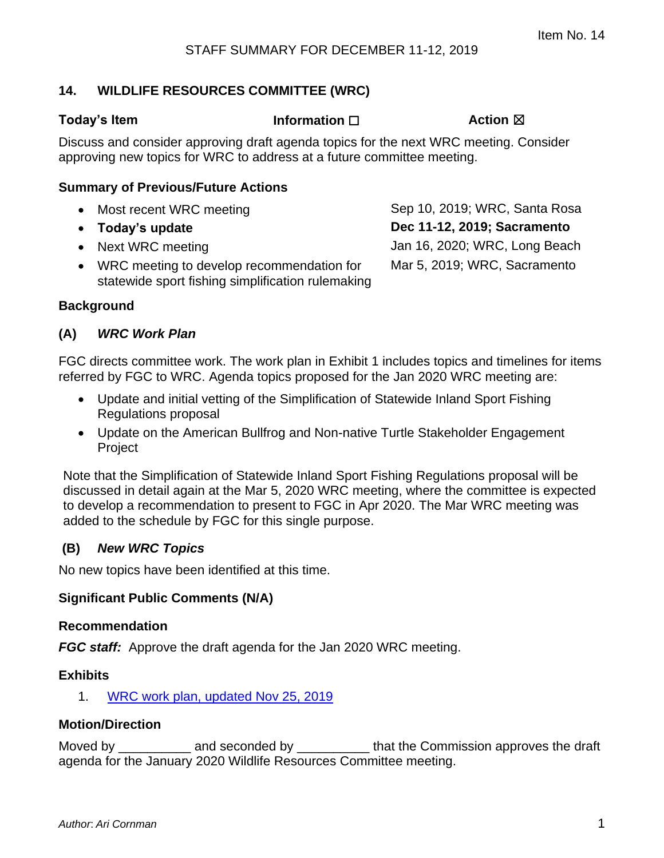# **14. WILDLIFE RESOURCES COMMITTEE (WRC)**

statewide sport fishing simplification rulemaking

#### **Today's Item Information** ☐ **Action** ☒

Discuss and consider approving draft agenda topics for the next WRC meeting. Consider approving new topics for WRC to address at a future committee meeting.

#### **Summary of Previous/Future Actions**

• Most recent WRC meeting Sep 10, 2019; WRC, Santa Rosa • **Today's update Dec 11-12, 2019; Sacramento** • Next WRC meeting and the Using State Jan 16, 2020; WRC, Long Beach • WRC meeting to develop recommendation for Mar 5, 2019; WRC, Sacramento

#### **Background**

## **(A)** *WRC Work Plan*

FGC directs committee work. The work plan in Exhibit 1 includes topics and timelines for items referred by FGC to WRC. Agenda topics proposed for the Jan 2020 WRC meeting are:

- Update and initial vetting of the Simplification of Statewide Inland Sport Fishing Regulations proposal
- Update on the American Bullfrog and Non-native Turtle Stakeholder Engagement **Project**

Note that the Simplification of Statewide Inland Sport Fishing Regulations proposal will be discussed in detail again at the Mar 5, 2020 WRC meeting, where the committee is expected to develop a recommendation to present to FGC in Apr 2020. The Mar WRC meeting was added to the schedule by FGC for this single purpose.

#### **(B)** *New WRC Topics*

No new topics have been identified at this time.

#### **Significant Public Comments (N/A)**

#### **Recommendation**

**FGC staff:** Approve the draft agenda for the Jan 2020 WRC meeting.

#### **Exhibits**

1. [WRC work plan, updated Nov 25, 2019](#page-1-0)

#### **Motion/Direction**

Moved by **EXECUTE:** and seconded by **EXECUTE:** that the Commission approves the draft agenda for the January 2020 Wildlife Resources Committee meeting.